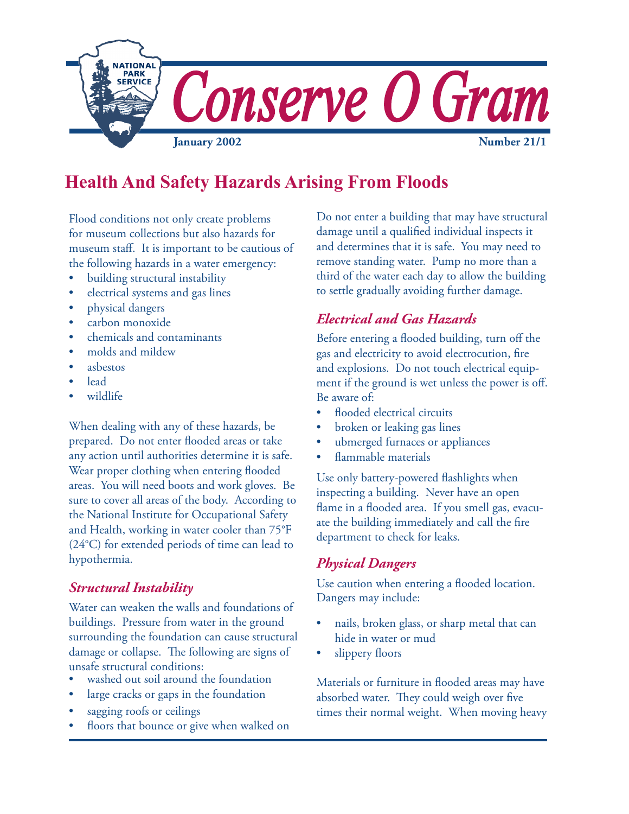

# **Health And Safety Hazards Arising From Floods**

Flood conditions not only create problems for museum collections but also hazards for museum staff. It is important to be cautious of the following hazards in a water emergency:

- building structural instability
- electrical systems and gas lines
- physical dangers
- carbon monoxide
- chemicals and contaminants
- molds and mildew
- asbestos
- lead
- wildlife

When dealing with any of these hazards, be prepared. Do not enter flooded areas or take any action until authorities determine it is safe. Wear proper clothing when entering flooded areas. You will need boots and work gloves. Be sure to cover all areas of the body. According to the National Institute for Occupational Safety and Health, working in water cooler than 75°F (24°C) for extended periods of time can lead to hypothermia.

### *Structural Instability*

Water can weaken the walls and foundations of buildings. Pressure from water in the ground surrounding the foundation can cause structural damage or collapse. The following are signs of unsafe structural conditions:

- washed out soil around the foundation
- large cracks or gaps in the foundation
- sagging roofs or ceilings
- floors that bounce or give when walked on

Do not enter a building that may have structural damage until a qualified individual inspects it and determines that it is safe. You may need to remove standing water. Pump no more than a third of the water each day to allow the building to settle gradually avoiding further damage.

# *Electrical and Gas Hazards*

Before entering a flooded building, turn off the gas and electricity to avoid electrocution, fire and explosions. Do not touch electrical equipment if the ground is wet unless the power is off. Be aware of:

- flooded electrical circuits
- broken or leaking gas lines
- ubmerged furnaces or appliances
- flammable materials

Use only battery-powered flashlights when inspecting a building. Never have an open flame in a flooded area. If you smell gas, evacuate the building immediately and call the fire department to check for leaks.

#### *Physical Dangers*

Use caution when entering a flooded location. Dangers may include:

- nails, broken glass, or sharp metal that can hide in water or mud
- slippery floors

Materials or furniture in flooded areas may have absorbed water. They could weigh over five times their normal weight.When moving heavy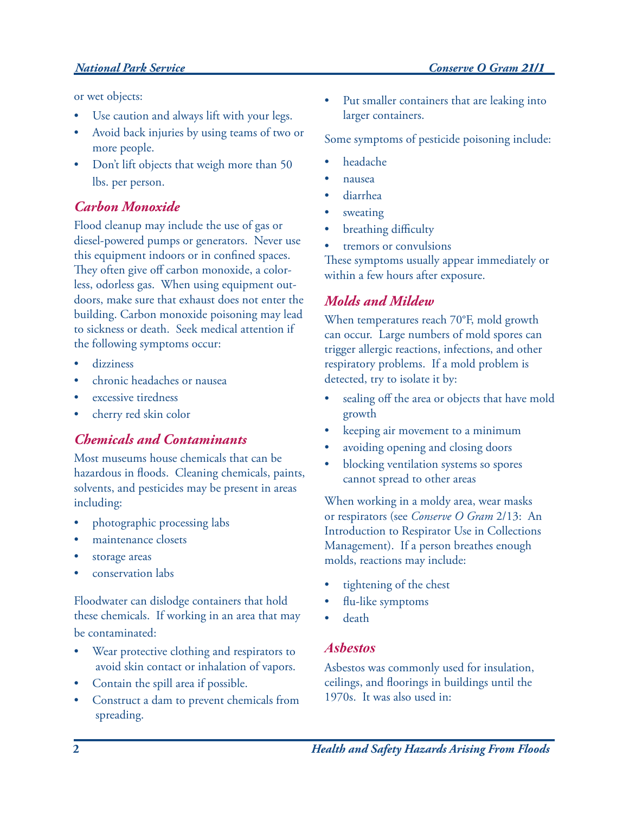#### *National Park Service Conserve O Gram 21/1 21/1*

or wet objects:

- Use caution and always lift with your legs.
- Avoid back injuries by using teams of two or more people.
- Don't lift objects that weigh more than 50 lbs. per person.

#### *Carbon Monoxide*

Flood cleanup may include the use of gas or diesel-powered pumps or generators. Never use this equipment indoors or in confined spaces. They often give off carbon monoxide, a colorless, odorless gas. When using equipment outdoors, make sure that exhaust does not enter the building. Carbon monoxide poisoning may lead to sickness or death. Seek medical attention if the following symptoms occur:

- dizziness
- chronic headaches or nausea
- excessive tiredness
- cherry red skin color

### *Chemicals and Contaminants*

Most museums house chemicals that can be hazardous in floods. Cleaning chemicals, paints, solvents, and pesticides may be present in areas including:

- photographic processing labs
- maintenance closets
- storage areas
- conservation labs

Floodwater can dislodge containers that hold these chemicals. If working in an area that may be contaminated:

- Wear protective clothing and respirators to avoid skin contact or inhalation of vapors.
- Contain the spill area if possible.
- Construct a dam to prevent chemicals from spreading.

Put smaller containers that are leaking into larger containers.

Some symptoms of pesticide poisoning include:

- headache
- nausea
- diarrhea
- sweating
- breathing difficulty
- tremors or convulsions

These symptoms usually appear immediately or within a few hours after exposure.

# *Molds and Mildew*

When temperatures reach 70°F, mold growth can occur. Large numbers of mold spores can trigger allergic reactions, infections, and other respiratory problems. If a mold problem is detected, try to isolate it by:

- sealing off the area or objects that have mold growth
- keeping air movement to a minimum
- avoiding opening and closing doors
- blocking ventilation systems so spores cannot spread to other areas

When working in a moldy area, wear masks or respirators (see *Conserve O Gram* 2/13: An Introduction to Respirator Use in Collections Management). If a person breathes enough molds, reactions may include:

- tightening of the chest
- flu-like symptoms
- death

#### *Asbestos*

Asbestos was commonly used for insulation, ceilings, and floorings in buildings until the 1970s. It was also used in: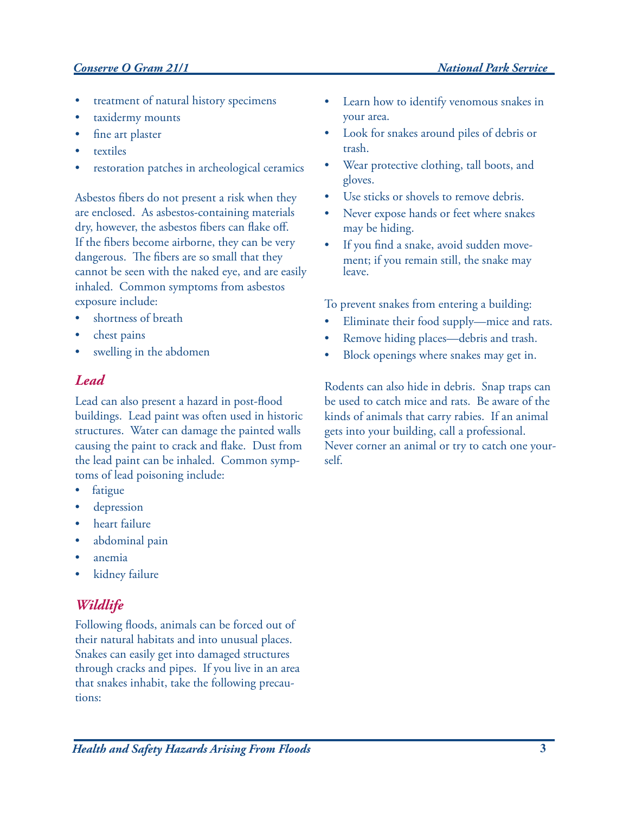### *Conserve O Gram 21/1 National Park Service*

- treatment of natural history specimens
- taxidermy mounts
- fine art plaster
- **textiles**
- restoration patches in archeological ceramics

Asbestos fibers do not present a risk when they are enclosed. As asbestos-containing materials dry, however, the asbestos fibers can flake off. If the fibers become airborne, they can be very dangerous. The fibers are so small that they cannot be seen with the naked eye, and are easily inhaled. Common symptoms from asbestos exposure include:

- shortness of breath
- chest pains
- swelling in the abdomen

#### *Lead*

Lead can also present a hazard in post-flood buildings. Lead paint was often used in historic structures. Water can damage the painted walls causing the paint to crack and flake. Dust from the lead paint can be inhaled. Common symptoms of lead poisoning include:

- fatigue
- depression
- heart failure
- abdominal pain
- anemia
- kidney failure

#### *Wildlife*

Following floods, animals can be forced out of their natural habitats and into unusual places. Snakes can easily get into damaged structures through cracks and pipes. If you live in an area that snakes inhabit, take the following precautions:

- Learn how to identify venomous snakes in your area.
- Look for snakes around piles of debris or trash.
- Wear protective clothing, tall boots, and gloves.
- Use sticks or shovels to remove debris.
- Never expose hands or feet where snakes may be hiding.
- If you find a snake, avoid sudden movement; if you remain still, the snake may leave.

To prevent snakes from entering a building:

- Eliminate their food supply—mice and rats.
- Remove hiding places—debris and trash.
- Block openings where snakes may get in.

Rodents can also hide in debris. Snap traps can be used to catch mice and rats. Be aware of the kinds of animals that carry rabies. If an animal gets into your building, call a professional. Never corner an animal or try to catch one yourself.